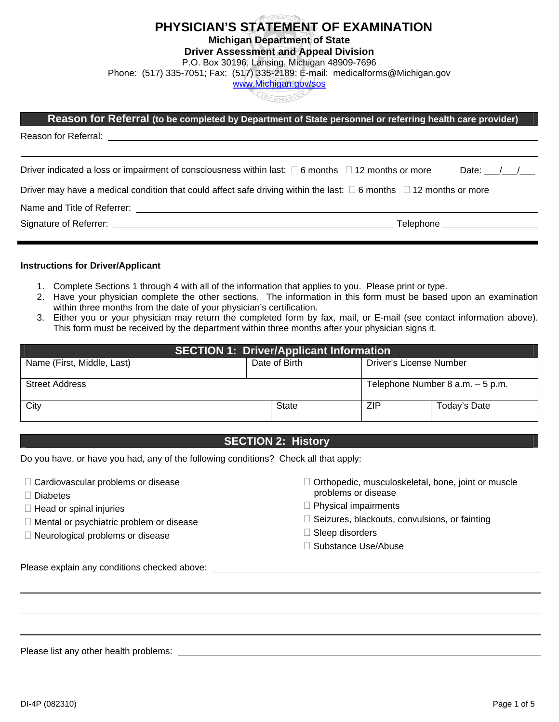# **PHYSICIAN'S STATEMENT OF EXAMINATION**

**Michigan Department of State** 

#### **Driver Assessment and Appeal Division**

P.O. Box 30196, Lansing, Michigan 48909-7696

Phone: (517) 335-7051; Fax: (517) 335-2189; E-mail: medicalforms@Michigan.gov [www.Michigan.gov/sos](http://www.michigan.gov/sos)

| Reason for Referral (to be completed by Department of State personnel or referring health care provider)                           |             |
|------------------------------------------------------------------------------------------------------------------------------------|-------------|
|                                                                                                                                    |             |
| Driver indicated a loss or impairment of consciousness within last: $\Box$ 6 months $\Box$ 12 months or more                       | Date: $/$ / |
| Driver may have a medical condition that could affect safe driving within the last: $\square$ 6 months $\square$ 12 months or more |             |

Name and Title of Referrer:

Signature of Referrer: Telephone

#### **Instructions for Driver/Applicant**

- 1. Complete Sections 1 through 4 with all of the information that applies to you. Please print or type.
- 2. Have your physician complete the other sections. The information in this form must be based upon an examination within three months from the date of your physician's certification.
- 3. Either you or your physician may return the completed form by fax, mail, or E-mail (see contact information above). This form must be received by the department within three months after your physician signs it.

| <b>SECTION 1: Driver/Applicant Information</b> |  |                                  |                         |              |  |  |
|------------------------------------------------|--|----------------------------------|-------------------------|--------------|--|--|
| Name (First, Middle, Last)                     |  | Date of Birth                    | Driver's License Number |              |  |  |
| <b>Street Address</b>                          |  | Telephone Number 8 a.m. - 5 p.m. |                         |              |  |  |
| City                                           |  | <b>State</b>                     | <b>ZIP</b>              | Today's Date |  |  |

### **SECTION 2: History SECTION 2: A**

Do you have, or have you had, any of the following conditions? Check all that apply:

- $\Box$  Cardiovascular problems or disease
- □ Diabetes

- $\Box$  Head or spinal injuries
- $\Box$  Mental or psychiatric problem or disease
- □ Neurological problems or disease
- □ Orthopedic, musculoskeletal, bone, joint or muscle problems or disease
- $\Box$  Physical impairments
- $\Box$  Seizures, blackouts, convulsions, or fainting
- $\square$  Sleep disorders
- □ Substance Use/Abuse

Please explain any conditions checked above:

Please list any other health problems: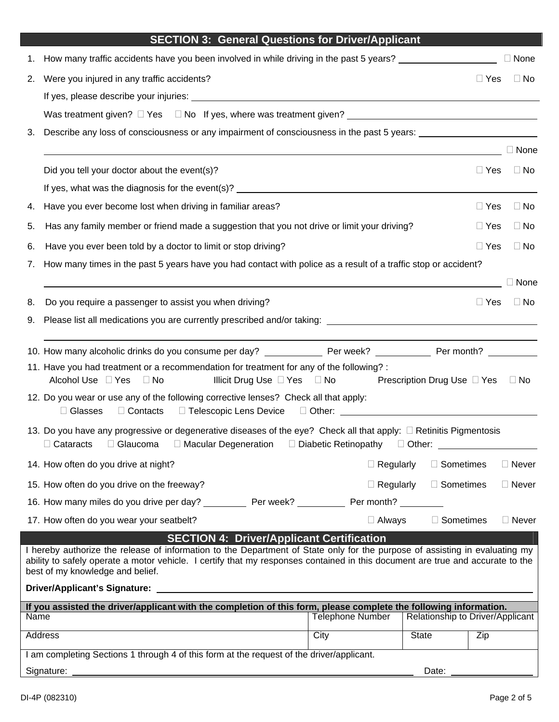|  | <b>SECTION 3: General Questions for Driver/Applicant</b> |  |
|--|----------------------------------------------------------|--|
|--|----------------------------------------------------------|--|

| 1.   | How many traffic accidents have you been involved in while driving in the past 5 years?                                                                                                                                                                                                           |                                                                                                                                                                                                                                      |                                  |                  | $\Box$ None  |
|------|---------------------------------------------------------------------------------------------------------------------------------------------------------------------------------------------------------------------------------------------------------------------------------------------------|--------------------------------------------------------------------------------------------------------------------------------------------------------------------------------------------------------------------------------------|----------------------------------|------------------|--------------|
| 2.   | Were you injured in any traffic accidents?                                                                                                                                                                                                                                                        |                                                                                                                                                                                                                                      |                                  | $\Box$ Yes       | $\Box$ No    |
|      | If yes, please describe your injuries: <b>All and the set of the set of the set of the set of the set of the set of the set of the set of the set of the set of the set of the set of the set of the set of the set of the set o</b>                                                              |                                                                                                                                                                                                                                      |                                  |                  |              |
|      | Was treatment given? $\Box$ Yes $\Box$ No If yes, where was treatment given?                                                                                                                                                                                                                      |                                                                                                                                                                                                                                      |                                  |                  |              |
| 3.   | Describe any loss of consciousness or any impairment of consciousness in the past 5 years:                                                                                                                                                                                                        |                                                                                                                                                                                                                                      |                                  |                  |              |
|      |                                                                                                                                                                                                                                                                                                   |                                                                                                                                                                                                                                      |                                  |                  | $\Box$ None  |
|      | Did you tell your doctor about the event(s)?                                                                                                                                                                                                                                                      |                                                                                                                                                                                                                                      |                                  | $\Box$ Yes       | $\Box$ No    |
|      |                                                                                                                                                                                                                                                                                                   |                                                                                                                                                                                                                                      |                                  |                  |              |
| 4.   | Have you ever become lost when driving in familiar areas?                                                                                                                                                                                                                                         |                                                                                                                                                                                                                                      |                                  | $\Box$ Yes       | $\Box$ No    |
| 5.   | Has any family member or friend made a suggestion that you not drive or limit your driving?                                                                                                                                                                                                       |                                                                                                                                                                                                                                      |                                  | $\Box$ Yes       | $\Box$ No    |
| 6.   | Have you ever been told by a doctor to limit or stop driving?                                                                                                                                                                                                                                     |                                                                                                                                                                                                                                      |                                  | $\Box$ Yes       | $\Box$ No    |
| 7.   | How many times in the past 5 years have you had contact with police as a result of a traffic stop or accident?                                                                                                                                                                                    |                                                                                                                                                                                                                                      |                                  |                  |              |
|      |                                                                                                                                                                                                                                                                                                   |                                                                                                                                                                                                                                      |                                  |                  | $\Box$ None  |
| 8.   | Do you require a passenger to assist you when driving?                                                                                                                                                                                                                                            |                                                                                                                                                                                                                                      |                                  | $\Box$ Yes       | $\Box$ No    |
| 9.   |                                                                                                                                                                                                                                                                                                   |                                                                                                                                                                                                                                      |                                  |                  |              |
|      |                                                                                                                                                                                                                                                                                                   |                                                                                                                                                                                                                                      |                                  |                  |              |
|      | 11. Have you had treatment or a recommendation for treatment for any of the following? :                                                                                                                                                                                                          |                                                                                                                                                                                                                                      |                                  |                  |              |
|      | Alcohol Use □ Yes □ No<br>Illicit Drug Use $\Box$ Yes $\Box$ No                                                                                                                                                                                                                                   | Prescription Drug Use □ Yes  □ No                                                                                                                                                                                                    |                                  |                  |              |
|      | 12. Do you wear or use any of the following corrective lenses? Check all that apply:<br>□ Telescopic Lens Device<br>$\Box$ Glasses<br>$\Box$ Contacts                                                                                                                                             | D Other: <u>2008 - 2008 - 2009 - 2009 - 2009 - 2009 - 2009 - 2009 - 2009 - 2009 - 2009 - 2009 - 2009 - 2009 - 2009 - 2009 - 2009 - 2009 - 2009 - 2009 - 2009 - 2009 - 2009 - 2009 - 2009 - 2009 - 2009 - 2009 - 2009 - 2009 - 20</u> |                                  |                  |              |
|      | 13. Do you have any progressive or degenerative diseases of the eye? Check all that apply: $\Box$ Retinitis Pigmentosis<br>$\Box$ Cataracts<br>$\Box$ Glaucoma<br>□ Macular Degeneration □ Diabetic Retinopathy □ Other: ____________                                                             |                                                                                                                                                                                                                                      |                                  |                  |              |
|      | 14. How often do you drive at night?                                                                                                                                                                                                                                                              | $\Box$ Regularly                                                                                                                                                                                                                     | $\Box$ Sometimes                 |                  | $\Box$ Never |
|      | 15. How often do you drive on the freeway?                                                                                                                                                                                                                                                        | $\Box$ Regularly                                                                                                                                                                                                                     | $\Box$ Sometimes                 |                  | $\Box$ Never |
|      | 16. How many miles do you drive per day? Per week?                                                                                                                                                                                                                                                | Per month? __                                                                                                                                                                                                                        |                                  |                  |              |
|      | 17. How often do you wear your seatbelt?                                                                                                                                                                                                                                                          | $\Box$ Always                                                                                                                                                                                                                        | $\Box$ Sometimes                 |                  | $\Box$ Never |
|      | <b>SECTION 4: Driver/Applicant Certification</b>                                                                                                                                                                                                                                                  |                                                                                                                                                                                                                                      |                                  |                  |              |
|      | I hereby authorize the release of information to the Department of State only for the purpose of assisting in evaluating my<br>ability to safely operate a motor vehicle. I certify that my responses contained in this document are true and accurate to the<br>best of my knowledge and belief. |                                                                                                                                                                                                                                      |                                  |                  |              |
|      | <b>Driver/Applicant's Signature:</b>                                                                                                                                                                                                                                                              |                                                                                                                                                                                                                                      |                                  |                  |              |
|      | If you assisted the driver/applicant with the completion of this form, please complete the following information.                                                                                                                                                                                 |                                                                                                                                                                                                                                      |                                  |                  |              |
| Name |                                                                                                                                                                                                                                                                                                   | <b>Telephone Number</b>                                                                                                                                                                                                              | Relationship to Driver/Applicant |                  |              |
|      | <b>Address</b>                                                                                                                                                                                                                                                                                    | City                                                                                                                                                                                                                                 | <b>State</b>                     | $\overline{Zip}$ |              |
|      | I am completing Sections 1 through 4 of this form at the request of the driver/applicant.                                                                                                                                                                                                         |                                                                                                                                                                                                                                      |                                  |                  |              |
|      | Signature:                                                                                                                                                                                                                                                                                        |                                                                                                                                                                                                                                      | Date:                            |                  |              |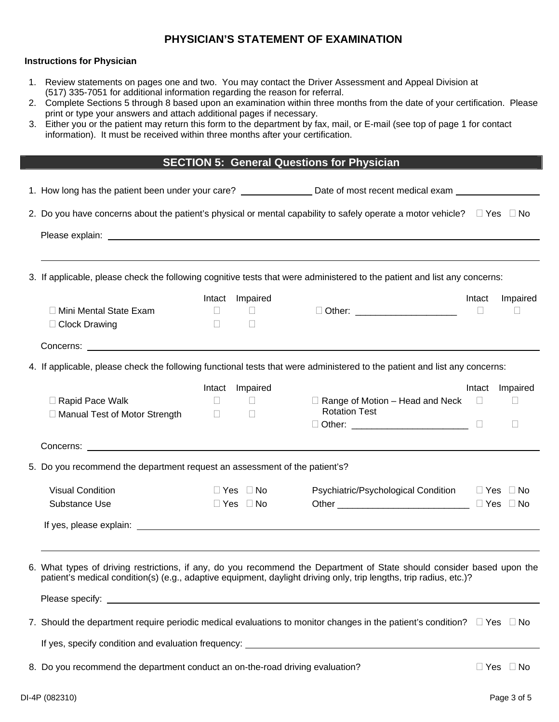### **PHYSICIAN'S STATEMENT OF EXAMINATION**

#### **Instructions for Physician**

- 1. Review statements on pages one and two. You may contact the Driver Assessment and Appeal Division at (517) 335-7051 for additional information regarding the reason for referral.
- 2. Complete Sections 5 through 8 based upon an examination within three months from the date of your certification. Please print or type your answers and attach additional pages if necessary.
- 3. Either you or the patient may return this form to the department by fax, mail, or E-mail (see top of page 1 for contact information). It must be received within three months after your certification.

## **SECTION 5: General Questions for Physician**

| 1. How long has the patient been under your care? ___________________Date of most recent medical exam __________                                                                                                                             |  |                        |                                                      |        |                      |
|----------------------------------------------------------------------------------------------------------------------------------------------------------------------------------------------------------------------------------------------|--|------------------------|------------------------------------------------------|--------|----------------------|
| 2. Do you have concerns about the patient's physical or mental capability to safely operate a motor vehicle? $\square$ Yes $\square$ No                                                                                                      |  |                        |                                                      |        |                      |
|                                                                                                                                                                                                                                              |  |                        |                                                      |        |                      |
| 3. If applicable, please check the following cognitive tests that were administered to the patient and list any concerns:                                                                                                                    |  |                        |                                                      |        |                      |
|                                                                                                                                                                                                                                              |  | Intact Impaired        |                                                      | Intact | Impaired             |
| $\Box$ Mini Mental State Exam<br>$\Box$                                                                                                                                                                                                      |  | a sa Tingga            | D Other: _______________________                     | $\Box$ | $\Box$               |
| $\Box$ Clock Drawing<br>$\Box$                                                                                                                                                                                                               |  | $\Box$                 |                                                      |        |                      |
|                                                                                                                                                                                                                                              |  |                        |                                                      |        |                      |
| 4. If applicable, please check the following functional tests that were administered to the patient and list any concerns:                                                                                                                   |  |                        |                                                      |        |                      |
|                                                                                                                                                                                                                                              |  | Intact Impaired        |                                                      | Intact | Impaired             |
| Rapid Pace Walk<br>$\Box$                                                                                                                                                                                                                    |  | and a material control | $\Box$ Range of Motion – Head and Neck $\Box$        |        | $\Box$               |
| □ Manual Test of Motor Strength<br>$\mathbb{R}^n \times \mathbb{R}^n$                                                                                                                                                                        |  | $\Box$                 | <b>Rotation Test</b>                                 |        |                      |
|                                                                                                                                                                                                                                              |  |                        | □ Other: _____________________________ □             |        | $\Box$               |
|                                                                                                                                                                                                                                              |  |                        |                                                      |        |                      |
| 5. Do you recommend the department request an assessment of the patient's?                                                                                                                                                                   |  |                        |                                                      |        |                      |
| <b>Visual Condition</b>                                                                                                                                                                                                                      |  | $\Box$ Yes $\Box$ No   | Psychiatric/Psychological Condition □ Yes □ No       |        |                      |
| Substance Use                                                                                                                                                                                                                                |  | $\Box$ Yes $\Box$ No   | Other ___________________________________ □ Yes □ No |        |                      |
|                                                                                                                                                                                                                                              |  |                        |                                                      |        |                      |
| 6. What types of driving restrictions, if any, do you recommend the Department of State should consider based upon the<br>patient's medical condition(s) (e.g., adaptive equipment, daylight driving only, trip lengths, trip radius, etc.)? |  |                        |                                                      |        |                      |
| 7. Should the department require periodic medical evaluations to monitor changes in the patient's condition? $\square$ Yes $\square$ No<br>If yes, specify condition and evaluation frequency: ____________________________                  |  |                        |                                                      |        |                      |
| 8. Do you recommend the department conduct an on-the-road driving evaluation?                                                                                                                                                                |  |                        |                                                      |        | $\Box$ Yes $\Box$ No |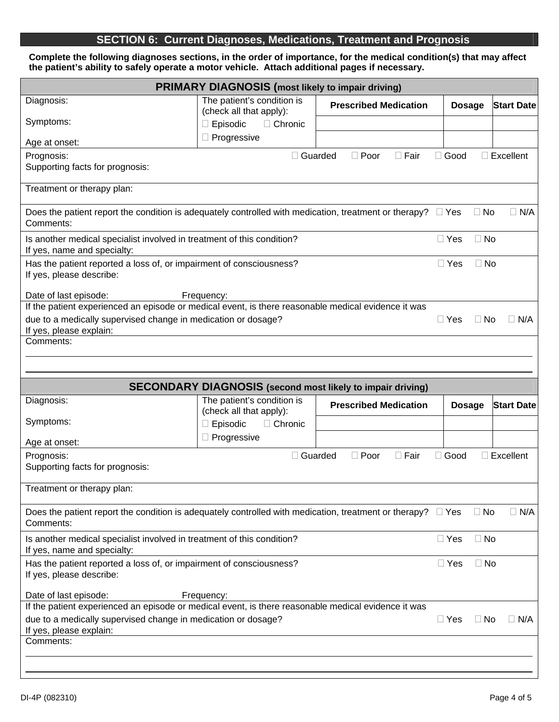## **SECTION 6: Current Diagnoses, Medications, Treatment and Prognosis**

**Complete the following diagnoses sections, in the order of importance, for the medical condition(s) that may affect the patient's ability to safely operate a motor vehicle. Attach additional pages if necessary.** 

| <b>PRIMARY DIAGNOSIS</b> (most likely to impair driving)                                                                                                             |                                                                                                 |                              |              |               |                   |  |
|----------------------------------------------------------------------------------------------------------------------------------------------------------------------|-------------------------------------------------------------------------------------------------|------------------------------|--------------|---------------|-------------------|--|
| Diagnosis:                                                                                                                                                           | The patient's condition is<br>(check all that apply):                                           | <b>Prescribed Medication</b> |              | <b>Dosage</b> | <b>Start Date</b> |  |
| Symptoms:                                                                                                                                                            | $\Box$ Episodic<br>$\Box$ Chronic                                                               |                              |              |               |                   |  |
| Age at onset:                                                                                                                                                        | □ Progressive                                                                                   |                              |              |               |                   |  |
| Prognosis:                                                                                                                                                           | □ Guarded                                                                                       | $\Box$ Poor<br>$\Box$ Fair   | $\Box$ Good  |               | $\Box$ Excellent  |  |
| Supporting facts for prognosis:                                                                                                                                      |                                                                                                 |                              |              |               |                   |  |
| Treatment or therapy plan:                                                                                                                                           |                                                                                                 |                              |              |               |                   |  |
| Does the patient report the condition is adequately controlled with medication, treatment or therapy? $\square$ Yes<br>Comments:                                     |                                                                                                 |                              |              | $\Box$ No     | $\Box$ N/A        |  |
| Is another medical specialist involved in treatment of this condition?<br>If yes, name and specialty:                                                                |                                                                                                 |                              | $\Box$ Yes   | $\Box$ No     |                   |  |
| Has the patient reported a loss of, or impairment of consciousness?<br>If yes, please describe:                                                                      |                                                                                                 |                              | $\Box$ Yes   | $\Box$ No     |                   |  |
| Date of last episode:                                                                                                                                                | Frequency:                                                                                      |                              |              |               |                   |  |
| If the patient experienced an episode or medical event, is there reasonable medical evidence it was<br>due to a medically supervised change in medication or dosage? |                                                                                                 |                              | $\Box$ Yes   | $\Box$ No     | $\Box$ N/A        |  |
| If yes, please explain:                                                                                                                                              |                                                                                                 |                              |              |               |                   |  |
| Comments:                                                                                                                                                            |                                                                                                 |                              |              |               |                   |  |
|                                                                                                                                                                      |                                                                                                 |                              |              |               |                   |  |
|                                                                                                                                                                      |                                                                                                 |                              |              |               |                   |  |
|                                                                                                                                                                      |                                                                                                 |                              |              |               |                   |  |
| Diagnosis:                                                                                                                                                           | <b>SECONDARY DIAGNOSIS</b> (second most likely to impair driving)<br>The patient's condition is | <b>Prescribed Medication</b> |              |               | <b>Start Date</b> |  |
| Symptoms:                                                                                                                                                            | (check all that apply):                                                                         |                              |              | <b>Dosage</b> |                   |  |
|                                                                                                                                                                      | $\Box$ Episodic<br>□ Chronic<br>$\Box$ Progressive                                              |                              |              |               |                   |  |
| Age at onset:                                                                                                                                                        |                                                                                                 |                              |              |               |                   |  |
| Prognosis:<br>Supporting facts for prognosis:                                                                                                                        | □ Guarded                                                                                       | $\Box$ Fair<br>$\Box$ Poor   | $\Box$ Good  |               | $\Box$ Excellent  |  |
| Treatment or therapy plan:                                                                                                                                           |                                                                                                 |                              |              |               |                   |  |
|                                                                                                                                                                      |                                                                                                 |                              |              |               |                   |  |
| Does the patient report the condition is adequately controlled with medication, treatment or therapy? $\square$ Yes<br>Comments:                                     |                                                                                                 |                              |              | $\Box$ No     | $\Box$ N/A        |  |
| Is another medical specialist involved in treatment of this condition?<br>If yes, name and specialty:                                                                |                                                                                                 |                              | $\Box$ Yes   | $\Box$ No     |                   |  |
| Has the patient reported a loss of, or impairment of consciousness?<br>If yes, please describe:                                                                      |                                                                                                 |                              | $\sqcup$ Yes | $\Box$ No     |                   |  |
|                                                                                                                                                                      |                                                                                                 |                              |              |               |                   |  |
| Date of last episode:<br>If the patient experienced an episode or medical event, is there reasonable medical evidence it was                                         | Frequency:                                                                                      |                              |              |               |                   |  |
| due to a medically supervised change in medication or dosage?                                                                                                        |                                                                                                 |                              | $\Box$ Yes   | $\Box$ No     | $\Box$ N/A        |  |
| If yes, please explain:<br>Comments:                                                                                                                                 |                                                                                                 |                              |              |               |                   |  |
|                                                                                                                                                                      |                                                                                                 |                              |              |               |                   |  |